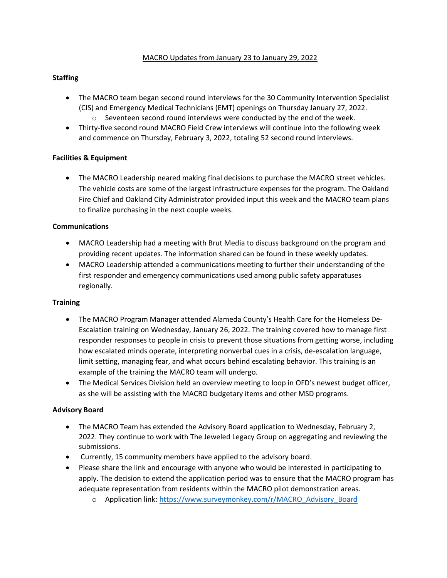#### MACRO Updates from January 23 to January 29, 2022

## **Staffing**

- The MACRO team began second round interviews for the 30 Community Intervention Specialist (CIS) and Emergency Medical Technicians (EMT) openings on Thursday January 27, 2022.  $\circ$  Seventeen second round interviews were conducted by the end of the week.
- Thirty-five second round MACRO Field Crew interviews will continue into the following week and commence on Thursday, February 3, 2022, totaling 52 second round interviews.

### **Facilities & Equipment**

• The MACRO Leadership neared making final decisions to purchase the MACRO street vehicles. The vehicle costs are some of the largest infrastructure expenses for the program. The Oakland Fire Chief and Oakland City Administrator provided input this week and the MACRO team plans to finalize purchasing in the next couple weeks.

#### **Communications**

- MACRO Leadership had a meeting with Brut Media to discuss background on the program and providing recent updates. The information shared can be found in these weekly updates.
- MACRO Leadership attended a communications meeting to further their understanding of the first responder and emergency communications used among public safety apparatuses regionally.

#### **Training**

- The MACRO Program Manager attended Alameda County's Health Care for the Homeless De-Escalation training on Wednesday, January 26, 2022. The training covered how to manage first responder responses to people in crisis to prevent those situations from getting worse, including how escalated minds operate, interpreting nonverbal cues in a crisis, de-escalation language, limit setting, managing fear, and what occurs behind escalating behavior. This training is an example of the training the MACRO team will undergo.
- The Medical Services Division held an overview meeting to loop in OFD's newest budget officer, as she will be assisting with the MACRO budgetary items and other MSD programs.

#### **Advisory Board**

- The MACRO Team has extended the Advisory Board application to Wednesday, February 2, 2022. They continue to work with The Jeweled Legacy Group on aggregating and reviewing the submissions.
- Currently, 15 community members have applied to the advisory board.
- Please share the link and encourage with anyone who would be interested in participating to apply. The decision to extend the application period was to ensure that the MACRO program has adequate representation from residents within the MACRO pilot demonstration areas.
	- o Application link: [https://www.surveymonkey.com/r/MACRO\\_Advisory\\_Board](https://urldefense.proofpoint.com/v2/url?u=https-3A__www.surveymonkey.com_r_MACRO-5FAdvisory-5FBoard&d=DwMFaQ&c=6ZboKdJzR8nZOqwBjhPnCw&r=JzIIUlMJQq_Ny50hkAICOWwYUffs4HkJ8GqdfbB6hiQ&m=H--hPCjFA7b7cI9tGi635rW8r_ofgvVcbz79cigA2Pw0SHxx1duRqsEnfw6vyBru&s=7uvUCrPnWChqb2d4GhPwUSSqG8yG3VhGZVp2GyLRTe8&e=)